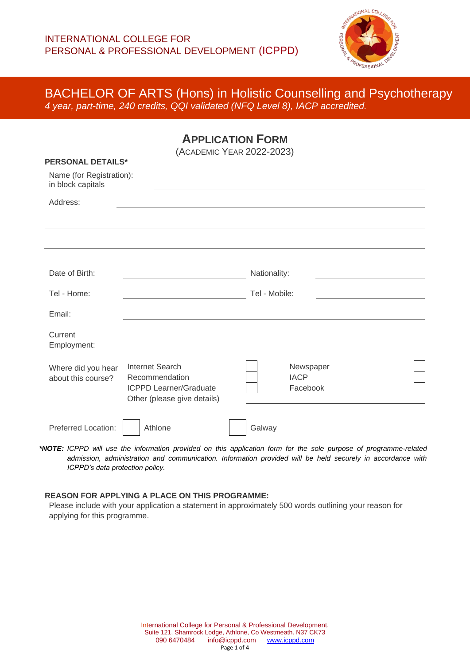

**APPLICATION FORM**

| (ACADEMIC YEAR 2022-2023)<br><b>PERSONAL DETAILS*</b><br>Name (for Registration):<br>in block capitals |                                                                                                   |               |                                      |  |  |
|--------------------------------------------------------------------------------------------------------|---------------------------------------------------------------------------------------------------|---------------|--------------------------------------|--|--|
| Address:                                                                                               |                                                                                                   |               |                                      |  |  |
|                                                                                                        |                                                                                                   |               |                                      |  |  |
| Date of Birth:                                                                                         |                                                                                                   | Nationality:  |                                      |  |  |
| Tel - Home:                                                                                            |                                                                                                   | Tel - Mobile: |                                      |  |  |
| Email:                                                                                                 |                                                                                                   |               |                                      |  |  |
| Current<br>Employment:                                                                                 |                                                                                                   |               |                                      |  |  |
| Where did you hear<br>about this course?                                                               | Internet Search<br>Recommendation<br><b>ICPPD Learner/Graduate</b><br>Other (please give details) |               | Newspaper<br><b>IACP</b><br>Facebook |  |  |
| Preferred Location:                                                                                    | Athlone                                                                                           | Galway        |                                      |  |  |

*\*NOTE: ICPPD will use the information provided on this application form for the sole purpose of programme-related admission, administration and communication. Information provided will be held securely in accordance with ICPPD's data protection policy.*

### **REASON FOR APPLYING A PLACE ON THIS PROGRAMME:**

Please include with your application a statement in approximately 500 words outlining your reason for applying for this programme.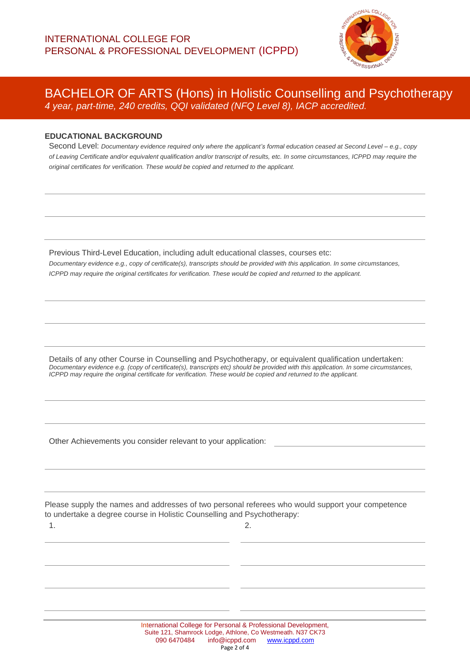

### **EDUCATIONAL BACKGROUND**

Second Level: *Documentary evidence required only where the applicant's formal education ceased at Second Level – e.g., copy of Leaving Certificate and/or equivalent qualification and/or transcript of results, etc. In some circumstances, ICPPD may require the original certificates for verification. These would be copied and returned to the applicant.*

Previous Third-Level Education, including adult educational classes, courses etc: *Documentary evidence e.g., copy of certificate(s), transcripts should be provided with this application. In some circumstances, ICPPD may require the original certificates for verification. These would be copied and returned to the applicant.*

Details of any other Course in Counselling and Psychotherapy, or equivalent qualification undertaken: *Documentary evidence e.g. (copy of certificate(s), transcripts etc) should be provided with this application. In some circumstances, ICPPD may require the original certificate for verification. These would be copied and returned to the applicant.*

Other Achievements you consider relevant to your application:

Please supply the names and addresses of two personal referees who would support your competence to undertake a degree course in Holistic Counselling and Psychotherapy:

 $1.$  2.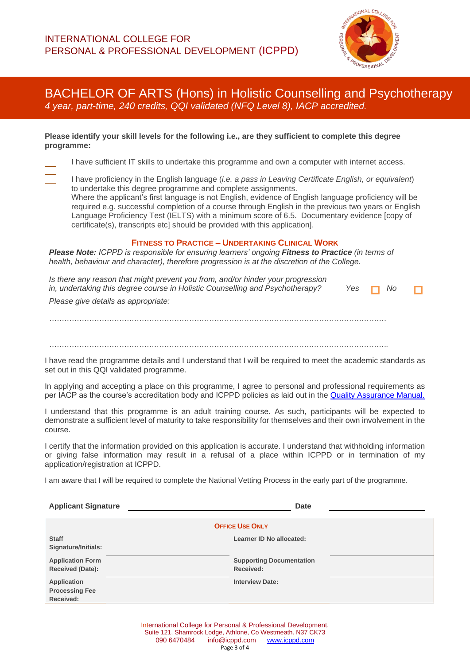

#### **Please identify your skill levels for the following i.e., are they sufficient to complete this degree programme:**

I have sufficient IT skills to undertake this programme and own a computer with internet access.

I have proficiency in the English language (*i.e. a pass in Leaving Certificate English, or equivalent*) to undertake this degree programme and complete assignments. Where the applicant's first language is not English, evidence of English language proficiency will be required e.g. successful completion of a course through English in the previous two years or English Language Proficiency Test (IELTS) with a minimum score of 6.5. Documentary evidence [copy of certificate(s), transcripts etc] should be provided with this application].

### **FITNESS TO PRACTICE – UNDERTAKING CLINICAL WORK**

*Please Note: ICPPD is responsible for ensuring learners' ongoing Fitness to Practice (in terms of health, behaviour and character), therefore progression is at the discretion of the College.*

| Is there any reason that might prevent you from, and/or hinder your progression<br>in, undertaking this degree course in Holistic Counselling and Psychotherapy? | Yes $\Box$ | No. |  |
|------------------------------------------------------------------------------------------------------------------------------------------------------------------|------------|-----|--|
| Please give details as appropriate:                                                                                                                              |            |     |  |
|                                                                                                                                                                  |            |     |  |
|                                                                                                                                                                  |            |     |  |
|                                                                                                                                                                  |            |     |  |
|                                                                                                                                                                  |            |     |  |

*……………………………………………………………………………………………………………………….*

I have read the programme details and I understand that I will be required to meet the academic standards as set out in this QQI validated programme.

In applying and accepting a place on this programme, I agree to personal and professional requirements as per IACP as the course's accreditation body and ICPPD policies as laid out in the [Quality Assurance Manual.](https://icppd.com/quality-assurance-at-icppd/)

I understand that this programme is an adult training course. As such, participants will be expected to demonstrate a sufficient level of maturity to take responsibility for themselves and their own involvement in the course.

I certify that the information provided on this application is accurate. I understand that withholding information or giving false information may result in a refusal of a place within ICPPD or in termination of my application/registration at ICPPD.

I am aware that I will be required to complete the National Vetting Process in the early part of the programme.

| <b>Applicant Signature</b>                               | <b>Date</b>                                  |  |  |  |
|----------------------------------------------------------|----------------------------------------------|--|--|--|
| <b>OFFICE USE ONLY</b>                                   |                                              |  |  |  |
| <b>Staff</b><br>Signature/Initials:                      | Learner ID No allocated:                     |  |  |  |
| <b>Application Form</b><br><b>Received (Date):</b>       | <b>Supporting Documentation</b><br>Received: |  |  |  |
| <b>Application</b><br><b>Processing Fee</b><br>Received: | <b>Interview Date:</b>                       |  |  |  |